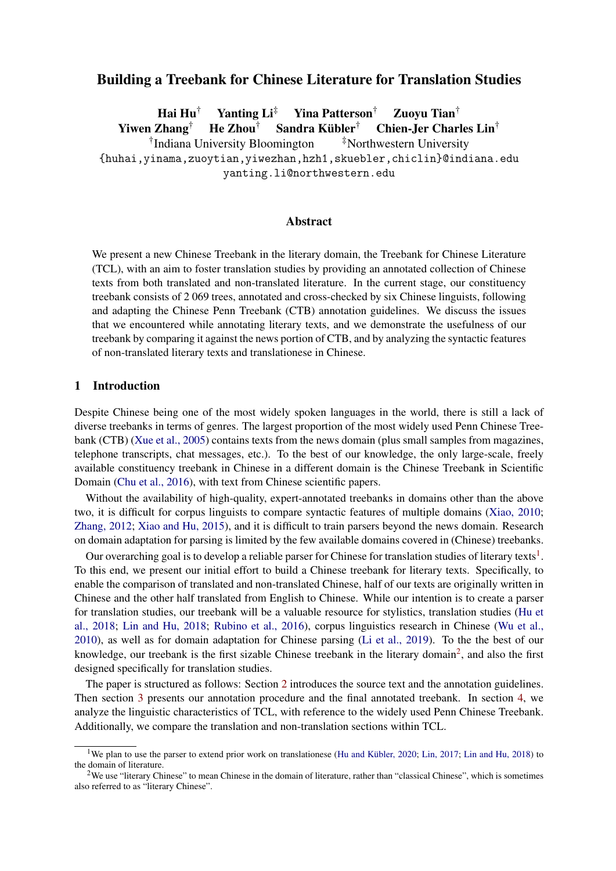# Building a Treebank for Chinese Literature for Translation Studies

Hai Hu† Yanting Li‡ Yina Patterson† Zuoyu Tian† Yiwen Zhang† He Zhou† Sandra Kübler† Chien-Jer Charles Lin† <sup>†</sup>Indiana University Bloomington <sup>‡</sup>Northwestern University {huhai,yinama,zuoytian,yiwezhan,hzh1,skuebler,chiclin}@indiana.edu yanting.li@northwestern.edu

## Abstract

We present a new Chinese Treebank in the literary domain, the Treebank for Chinese Literature (TCL), with an aim to foster translation studies by providing an annotated collection of Chinese texts from both translated and non-translated literature. In the current stage, our constituency treebank consists of 2 069 trees, annotated and cross-checked by six Chinese linguists, following and adapting the Chinese Penn Treebank (CTB) annotation guidelines. We discuss the issues that we encountered while annotating literary texts, and we demonstrate the usefulness of our treebank by comparing it against the news portion of CTB, and by analyzing the syntactic features of non-translated literary texts and translationese in Chinese.

#### 1 Introduction

Despite Chinese being one of the most widely spoken languages in the world, there is still a lack of diverse treebanks in terms of genres. The largest proportion of the most widely used Penn Chinese Treebank (CTB) [\(Xue et al., 2005\)](#page-11-0) contains texts from the news domain (plus small samples from magazines, telephone transcripts, chat messages, etc.). To the best of our knowledge, the only large-scale, freely available constituency treebank in Chinese in a different domain is the Chinese Treebank in Scientific Domain [\(Chu et al., 2016\)](#page-10-0), with text from Chinese scientific papers.

Without the availability of high-quality, expert-annotated treebanks in domains other than the above two, it is difficult for corpus linguists to compare syntactic features of multiple domains [\(Xiao, 2010;](#page-11-1) [Zhang, 2012;](#page-12-0) [Xiao and Hu, 2015\)](#page-11-2), and it is difficult to train parsers beyond the news domain. Research on domain adaptation for parsing is limited by the few available domains covered in (Chinese) treebanks.

Our overarching goal is to develop a reliable parser for Chinese for translation studies of literary texts<sup>[1](#page-0-0)</sup>. To this end, we present our initial effort to build a Chinese treebank for literary texts. Specifically, to enable the comparison of translated and non-translated Chinese, half of our texts are originally written in Chinese and the other half translated from English to Chinese. While our intention is to create a parser for translation studies, our treebank will be a valuable resource for stylistics, translation studies [\(Hu et](#page-10-1) [al., 2018;](#page-10-1) [Lin and Hu, 2018;](#page-10-2) [Rubino et al., 2016\)](#page-11-3), corpus linguistics research in Chinese [\(Wu et al.,](#page-11-4) [2010\)](#page-11-4), as well as for domain adaptation for Chinese parsing [\(Li et al., 2019\)](#page-10-3). To the the best of our knowledge, our treebank is the first sizable Chinese treebank in the literary domain<sup>[2](#page-0-1)</sup>, and also the first designed specifically for translation studies.

The paper is structured as follows: Section [2](#page-1-0) introduces the source text and the annotation guidelines. Then section [3](#page-3-0) presents our annotation procedure and the final annotated treebank. In section [4,](#page-3-1) we analyze the linguistic characteristics of TCL, with reference to the widely used Penn Chinese Treebank. Additionally, we compare the translation and non-translation sections within TCL.

<span id="page-0-0"></span><sup>&</sup>lt;sup>1</sup>We plan to use the parser to extend prior work on translationese [\(Hu and Kübler, 2020;](#page-10-4) [Lin, 2017;](#page-11-5) [Lin and Hu, 2018\)](#page-10-2) to the domain of literature.

<span id="page-0-1"></span><sup>&</sup>lt;sup>2</sup>We use "literary Chinese" to mean Chinese in the domain of literature, rather than "classical Chinese", which is sometimes also referred to as "literary Chinese".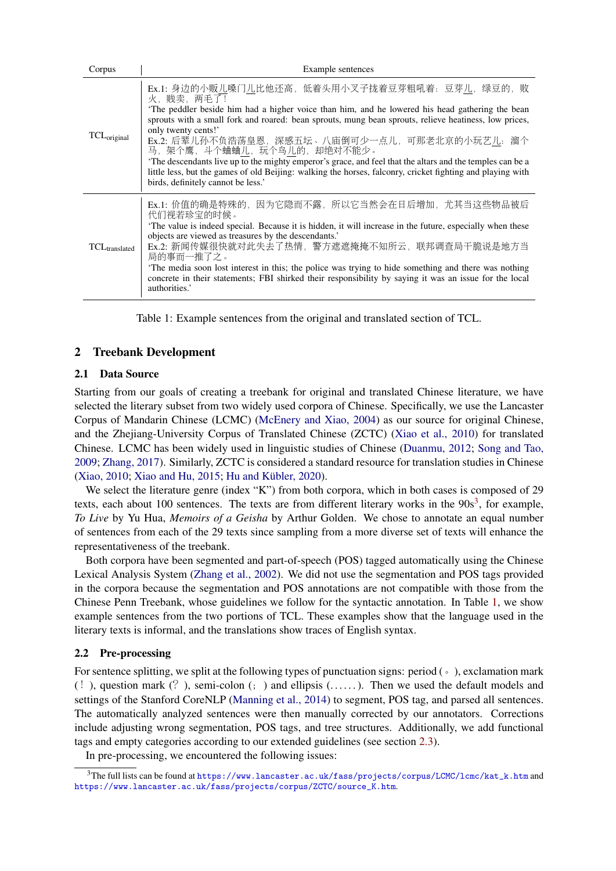| Corpus                    | Example sentences                                                                                                                                                                                                              |  |  |  |  |  |
|---------------------------|--------------------------------------------------------------------------------------------------------------------------------------------------------------------------------------------------------------------------------|--|--|--|--|--|
| $TCL_{original}$          | Ex.1: 身边的小贩儿嗓门儿比他还高, 低着头用小叉子拢着豆芽粗吼着: 豆芽儿, 绿豆的, 败<br>火,贱卖,两毛了!                                                                                                                                                                  |  |  |  |  |  |
|                           | The peddler beside him had a higher voice than him, and he lowered his head gathering the bean                                                                                                                                 |  |  |  |  |  |
|                           | sprouts with a small fork and roared: bean sprouts, mung bean sprouts, relieve heatiness, low prices,<br>only twenty cents!'                                                                                                   |  |  |  |  |  |
|                           | Ex.2: 后辈儿孙不负浩荡皇恩, 深感五坛、八庙倒可少一点儿, 可那老北京的小玩艺儿: 溜个<br>马, 架个鹰, 斗个蛐蛐儿, 玩个鸟儿的, 却绝对不能少。                                                                                                                                               |  |  |  |  |  |
|                           | The descendants live up to the mighty emperor's grace, and feel that the altars and the temples can be a<br>little less, but the games of old Beijing: walking the horses, falconry, cricket fighting and playing with         |  |  |  |  |  |
|                           | birds, definitely cannot be less.'                                                                                                                                                                                             |  |  |  |  |  |
| TCL <sub>translated</sub> | Ex.1: 价值的确是特殊的,因为它隐而不露,所以它当然会在日后增加,尤其当这些物品被后<br>代们视若珍宝的时候。                                                                                                                                                                     |  |  |  |  |  |
|                           | The value is indeed special. Because it is hidden, it will increase in the future, especially when these                                                                                                                       |  |  |  |  |  |
|                           | objects are viewed as treasures by the descendants.'<br>Ex.2: 新闻传媒很快就对此失去了热情, 警方遮遮掩掩不知所云, 联邦调查局干脆说是地方当<br>局的事而一推了之。                                                                                                            |  |  |  |  |  |
|                           | The media soon lost interest in this; the police was trying to hide something and there was nothing<br>concrete in their statements; FBI shirked their responsibility by saying it was an issue for the local<br>authorities.' |  |  |  |  |  |

<span id="page-1-2"></span>Table 1: Example sentences from the original and translated section of TCL.

# <span id="page-1-0"></span>2 Treebank Development

### 2.1 Data Source

Starting from our goals of creating a treebank for original and translated Chinese literature, we have selected the literary subset from two widely used corpora of Chinese. Specifically, we use the Lancaster Corpus of Mandarin Chinese (LCMC) [\(McEnery and Xiao, 2004\)](#page-11-6) as our source for original Chinese, and the Zhejiang-University Corpus of Translated Chinese (ZCTC) [\(Xiao et al., 2010\)](#page-11-7) for translated Chinese. LCMC has been widely used in linguistic studies of Chinese [\(Duanmu, 2012;](#page-10-5) [Song and Tao,](#page-11-8) [2009;](#page-11-8) [Zhang, 2017\)](#page-12-1). Similarly, ZCTC is considered a standard resource for translation studies in Chinese [\(Xiao, 2010;](#page-11-1) [Xiao and Hu, 2015;](#page-11-2) [Hu and Kübler, 2020\)](#page-10-4).

We select the literature genre (index "K") from both corpora, which in both cases is composed of 29 texts, each about 100 sentences. The texts are from different literary works in the  $90s<sup>3</sup>$  $90s<sup>3</sup>$  $90s<sup>3</sup>$ , for example, *To Live* by Yu Hua, *Memoirs of a Geisha* by Arthur Golden. We chose to annotate an equal number of sentences from each of the 29 texts since sampling from a more diverse set of texts will enhance the representativeness of the treebank.

Both corpora have been segmented and part-of-speech (POS) tagged automatically using the Chinese Lexical Analysis System [\(Zhang et al., 2002\)](#page-12-2). We did not use the segmentation and POS tags provided in the corpora because the segmentation and POS annotations are not compatible with those from the Chinese Penn Treebank, whose guidelines we follow for the syntactic annotation. In Table [1,](#page-1-2) we show example sentences from the two portions of TCL. These examples show that the language used in the literary texts is informal, and the translations show traces of English syntax.

## 2.2 Pre-processing

For sentence splitting, we split at the following types of punctuation signs: period  $($   $\cdot$   $)$ , exclamation mark  $(!)$ , question mark  $(?)$ , semi-colon  $(;)$  and ellipsis  $($ .....). Then we used the default models and settings of the Stanford CoreNLP [\(Manning et al., 2014\)](#page-11-9) to segment, POS tag, and parsed all sentences. The automatically analyzed sentences were then manually corrected by our annotators. Corrections include adjusting wrong segmentation, POS tags, and tree structures. Additionally, we add functional tags and empty categories according to our extended guidelines (see section [2.3\)](#page-2-0).

In pre-processing, we encountered the following issues:

<span id="page-1-1"></span><sup>3</sup>The full lists can be found at [https://www.lancaster.ac.uk/fass/projects/corpus/LCMC/lcmc/kat\\_k.htm](https://www.lancaster.ac.uk/fass/projects/corpus/LCMC/lcmc/kat_k.htm) and [https://www.lancaster.ac.uk/fass/projects/corpus/ZCTC/source\\_K.htm](https://www.lancaster.ac.uk/fass/projects/corpus/ZCTC/source_K.htm).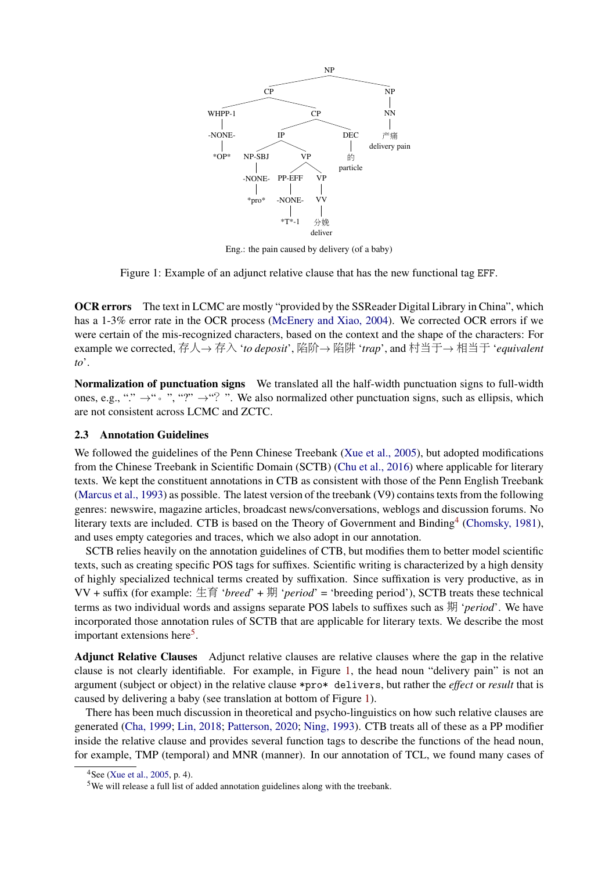

Eng.: the pain caused by delivery (of a baby)

<span id="page-2-3"></span>Figure 1: Example of an adjunct relative clause that has the new functional tag EFF.

OCR errors The text in LCMC are mostly "provided by the SSReader Digital Library in China", which has a 1-3% error rate in the OCR process [\(McEnery and Xiao, 2004\)](#page-11-6). We corrected OCR errors if we were certain of the mis-recognized characters, based on the context and the shape of the characters: For example we corrected, <sup>存</sup>人<sup>→</sup> <sup>存</sup><sup>入</sup> '*to deposit*', 陷阶<sup>→</sup> 陷阱 '*trap*', and <sup>村</sup>当于<sup>→</sup> <sup>相</sup>当<sup>于</sup> '*equivalent to*'.

Normalization of punctuation signs We translated all the half-width punctuation signs to full-width ones, e.g., "."  $\rightarrow$  ".", "?"  $\rightarrow$  "?". We also normalized other punctuation signs, such as ellipsis, which are not consistent across LCMC and ZCTC.

### <span id="page-2-0"></span>2.3 Annotation Guidelines

We followed the guidelines of the Penn Chinese Treebank [\(Xue et al., 2005\)](#page-11-0), but adopted modifications from the Chinese Treebank in Scientific Domain (SCTB) [\(Chu et al., 2016\)](#page-10-0) where applicable for literary texts. We kept the constituent annotations in CTB as consistent with those of the Penn English Treebank [\(Marcus et al., 1993\)](#page-11-10) as possible. The latest version of the treebank (V9) contains texts from the following genres: newswire, magazine articles, broadcast news/conversations, weblogs and discussion forums. No literary texts are included. CTB is based on the Theory of Government and Binding<sup>[4](#page-2-1)</sup> [\(Chomsky, 1981\)](#page-10-6), and uses empty categories and traces, which we also adopt in our annotation.

SCTB relies heavily on the annotation guidelines of CTB, but modifies them to better model scientific texts, such as creating specific POS tags for suffixes. Scientific writing is characterized by a high density of highly specialized technical terms created by suffixation. Since suffixation is very productive, as in VV + suffix (for example: 生<sup>育</sup> '*breed*' + <sup>期</sup> '*period*' = 'breeding period'), SCTB treats these technical terms as two individual words and assigns separate POS labels to suffixes such as 期 '*period*'. We have incorporated those annotation rules of SCTB that are applicable for literary texts. We describe the most important extensions here<sup>[5](#page-2-2)</sup>.

Adjunct Relative Clauses Adjunct relative clauses are relative clauses where the gap in the relative clause is not clearly identifiable. For example, in Figure [1,](#page-2-3) the head noun "delivery pain" is not an argument (subject or object) in the relative clause \*pro\* delivers, but rather the *effect* or *result* that is caused by delivering a baby (see translation at bottom of Figure [1\)](#page-2-3).

There has been much discussion in theoretical and psycho-linguistics on how such relative clauses are generated [\(Cha, 1999;](#page-10-7) [Lin, 2018;](#page-11-11) [Patterson, 2020;](#page-11-12) [Ning, 1993\)](#page-11-13). CTB treats all of these as a PP modifier inside the relative clause and provides several function tags to describe the functions of the head noun, for example, TMP (temporal) and MNR (manner). In our annotation of TCL, we found many cases of

<span id="page-2-1"></span> $4$ See [\(Xue et al., 2005,](#page-11-0) p. 4).

<span id="page-2-2"></span><sup>5</sup>We will release a full list of added annotation guidelines along with the treebank.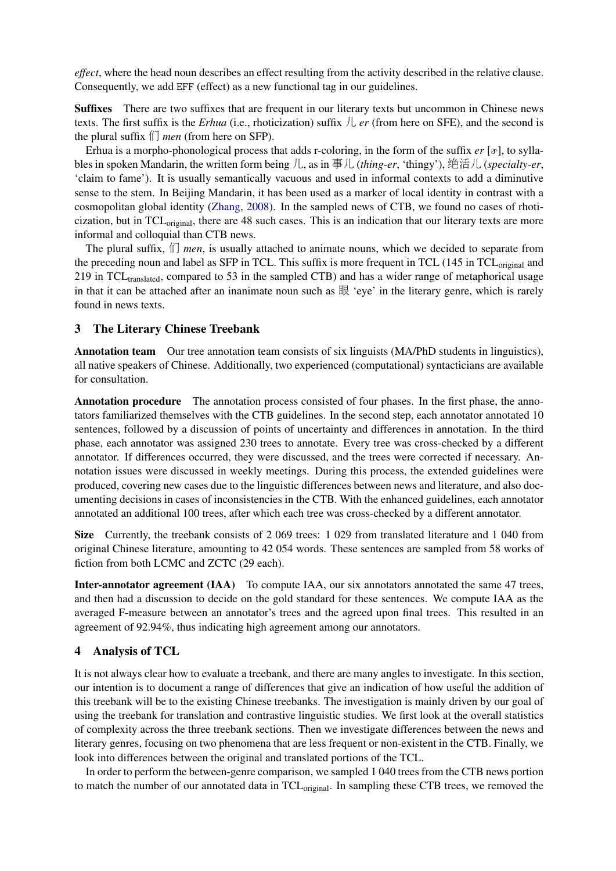*effect*, where the head noun describes an effect resulting from the activity described in the relative clause. Consequently, we add EFF (effect) as a new functional tag in our guidelines.

Suffixes There are two suffixes that are frequent in our literary texts but uncommon in Chinese news texts. The first suffix is the *Erhua* (i.e., rhoticization) suffix 儿 *er* (from here on SFE), and the second is the plural suffix 们 *men* (from here on SFP).

Erhua is a morpho-phonological process that adds r-coloring, in the form of the suffix  $er [\mathcal{F}]$ , to syllables in spoken Mandarin, the written form being 儿, as in 事儿 (*thing-er*, 'thingy'), 绝活儿 (*specialty-er*, 'claim to fame'). It is usually semantically vacuous and used in informal contexts to add a diminutive sense to the stem. In Beijing Mandarin, it has been used as a marker of local identity in contrast with a cosmopolitan global identity [\(Zhang, 2008\)](#page-12-3). In the sampled news of CTB, we found no cases of rhoticization, but in TCL<sub>original</sub>, there are 48 such cases. This is an indication that our literary texts are more informal and colloquial than CTB news.

The plural suffix, 们 *men*, is usually attached to animate nouns, which we decided to separate from the preceding noun and label as SFP in TCL. This suffix is more frequent in TCL (145 in TCL<sub>original</sub> and 219 in TCL<sub>translated</sub>, compared to 53 in the sampled CTB) and has a wider range of metaphorical usage in that it can be attached after an inanimate noun such as 眼 'eye' in the literary genre, which is rarely found in news texts.

### <span id="page-3-0"></span>3 The Literary Chinese Treebank

Annotation team Our tree annotation team consists of six linguists (MA/PhD students in linguistics), all native speakers of Chinese. Additionally, two experienced (computational) syntacticians are available for consultation.

Annotation procedure The annotation process consisted of four phases. In the first phase, the annotators familiarized themselves with the CTB guidelines. In the second step, each annotator annotated 10 sentences, followed by a discussion of points of uncertainty and differences in annotation. In the third phase, each annotator was assigned 230 trees to annotate. Every tree was cross-checked by a different annotator. If differences occurred, they were discussed, and the trees were corrected if necessary. Annotation issues were discussed in weekly meetings. During this process, the extended guidelines were produced, covering new cases due to the linguistic differences between news and literature, and also documenting decisions in cases of inconsistencies in the CTB. With the enhanced guidelines, each annotator annotated an additional 100 trees, after which each tree was cross-checked by a different annotator.

Size Currently, the treebank consists of 2 069 trees: 1 029 from translated literature and 1 040 from original Chinese literature, amounting to 42 054 words. These sentences are sampled from 58 works of fiction from both LCMC and ZCTC (29 each).

Inter-annotator agreement (IAA) To compute IAA, our six annotators annotated the same 47 trees, and then had a discussion to decide on the gold standard for these sentences. We compute IAA as the averaged F-measure between an annotator's trees and the agreed upon final trees. This resulted in an agreement of 92.94%, thus indicating high agreement among our annotators.

## <span id="page-3-1"></span>4 Analysis of TCL

It is not always clear how to evaluate a treebank, and there are many angles to investigate. In this section, our intention is to document a range of differences that give an indication of how useful the addition of this treebank will be to the existing Chinese treebanks. The investigation is mainly driven by our goal of using the treebank for translation and contrastive linguistic studies. We first look at the overall statistics of complexity across the three treebank sections. Then we investigate differences between the news and literary genres, focusing on two phenomena that are less frequent or non-existent in the CTB. Finally, we look into differences between the original and translated portions of the TCL.

In order to perform the between-genre comparison, we sampled 1 040 trees from the CTB news portion to match the number of our annotated data in  $TCL_{original}$ . In sampling these CTB trees, we removed the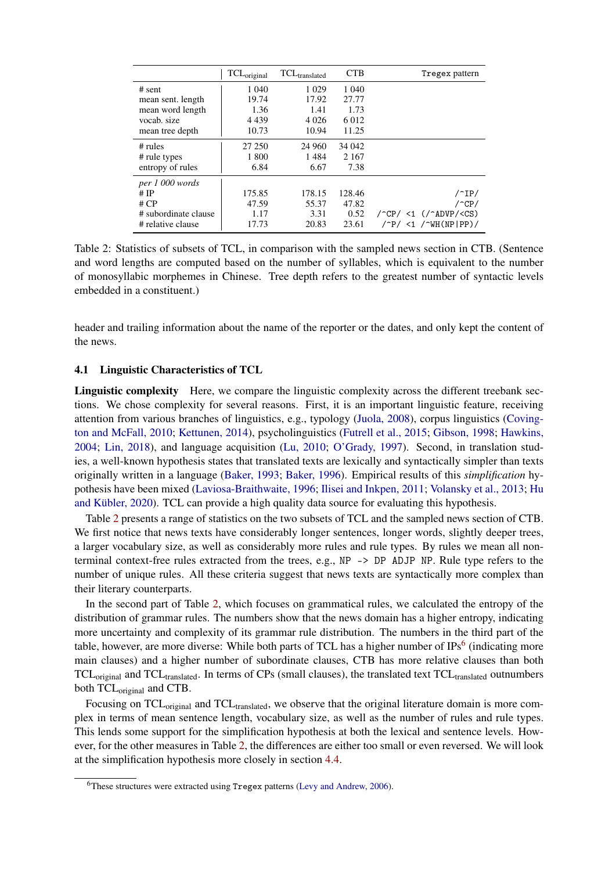|                      | TCL <sub>original</sub> | TCL <sub>translated</sub> | <b>CTB</b> | Tregex pattern                                                       |
|----------------------|-------------------------|---------------------------|------------|----------------------------------------------------------------------|
| $#$ sent             | 1 0 4 0                 | 1 0 2 9                   | 1 040      |                                                                      |
| mean sent. length    | 19.74                   | 17.92                     | 27.77      |                                                                      |
| mean word length     | 1.36                    | 1.41                      | 1.73       |                                                                      |
| vocab, size          | 4 4 3 9                 | 4 0 2 6                   | 6.012      |                                                                      |
| mean tree depth      | 10.73                   | 10.94                     | 11.25      |                                                                      |
| $#$ rules            | 27 250                  | 24 960                    | 34 042     |                                                                      |
| # rule types         | 1 800                   | 1484                      | 2 1 6 7    |                                                                      |
| entropy of rules     | 6.84                    | 6.67                      | 7.38       |                                                                      |
| per 1 000 words      |                         |                           |            |                                                                      |
| # $IP$               | 175.85                  | 178.15                    | 128.46     | $/^1P$                                                               |
| # $CP$               | 47.59                   | 55.37                     | 47.82      | $/$ $\degree$ CP/                                                    |
| # subordinate clause | 1.17                    | 3.31                      | 0.52       | $/$ <sup>-</sup> CP/ <1 $($ / <sup>-</sup> ADVP/ <cs)< td=""></cs)<> |
| # relative clause    | 17.73                   | 20.83                     | 23.61      | $/^{\circ}P/$ <1 / $^{\circ}WH(NP1PP)/$                              |

<span id="page-4-0"></span>Table 2: Statistics of subsets of TCL, in comparison with the sampled news section in CTB. (Sentence and word lengths are computed based on the number of syllables, which is equivalent to the number of monosyllabic morphemes in Chinese. Tree depth refers to the greatest number of syntactic levels embedded in a constituent.)

header and trailing information about the name of the reporter or the dates, and only kept the content of the news.

### 4.1 Linguistic Characteristics of TCL

Linguistic complexity Here, we compare the linguistic complexity across the different treebank sections. We chose complexity for several reasons. First, it is an important linguistic feature, receiving attention from various branches of linguistics, e.g., typology [\(Juola, 2008\)](#page-10-8), corpus linguistics [\(Coving](#page-10-9)[ton and McFall, 2010;](#page-10-9) [Kettunen, 2014\)](#page-10-10), psycholinguistics [\(Futrell et al., 2015;](#page-10-11) [Gibson, 1998;](#page-10-12) [Hawkins,](#page-10-13) [2004;](#page-10-13) [Lin, 2018\)](#page-11-11), and language acquisition [\(Lu, 2010;](#page-11-14) [O'Grady, 1997\)](#page-11-15). Second, in translation studies, a well-known hypothesis states that translated texts are lexically and syntactically simpler than texts originally written in a language [\(Baker, 1993;](#page-10-14) [Baker, 1996\)](#page-10-15). Empirical results of this *simplification* hypothesis have been mixed [\(Laviosa-Braithwaite, 1996;](#page-10-16) [Ilisei and Inkpen, 2011;](#page-10-17) [Volansky et al., 2013;](#page-11-16) [Hu](#page-10-4) [and Kübler, 2020\)](#page-10-4). TCL can provide a high quality data source for evaluating this hypothesis.

Table [2](#page-4-0) presents a range of statistics on the two subsets of TCL and the sampled news section of CTB. We first notice that news texts have considerably longer sentences, longer words, slightly deeper trees, a larger vocabulary size, as well as considerably more rules and rule types. By rules we mean all nonterminal context-free rules extracted from the trees, e.g., NP -> DP ADJP NP. Rule type refers to the number of unique rules. All these criteria suggest that news texts are syntactically more complex than their literary counterparts.

In the second part of Table [2,](#page-4-0) which focuses on grammatical rules, we calculated the entropy of the distribution of grammar rules. The numbers show that the news domain has a higher entropy, indicating more uncertainty and complexity of its grammar rule distribution. The numbers in the third part of the table, however, are more diverse: While both parts of TCL has a higher number of IPs<sup>[6](#page-4-1)</sup> (indicating more main clauses) and a higher number of subordinate clauses, CTB has more relative clauses than both TCL<sub>original</sub> and TCL<sub>translated</sub>. In terms of CPs (small clauses), the translated text TCL<sub>translated</sub> outnumbers both TCL<sub>original</sub> and CTB.

Focusing on TCL<sub>original</sub> and TCL<sub>translated</sub>, we observe that the original literature domain is more complex in terms of mean sentence length, vocabulary size, as well as the number of rules and rule types. This lends some support for the simplification hypothesis at both the lexical and sentence levels. However, for the other measures in Table [2,](#page-4-0) the differences are either too small or even reversed. We will look at the simplification hypothesis more closely in section [4.4.](#page-7-0)

<span id="page-4-1"></span><sup>6</sup>These structures were extracted using Tregex patterns [\(Levy and Andrew, 2006\)](#page-10-18).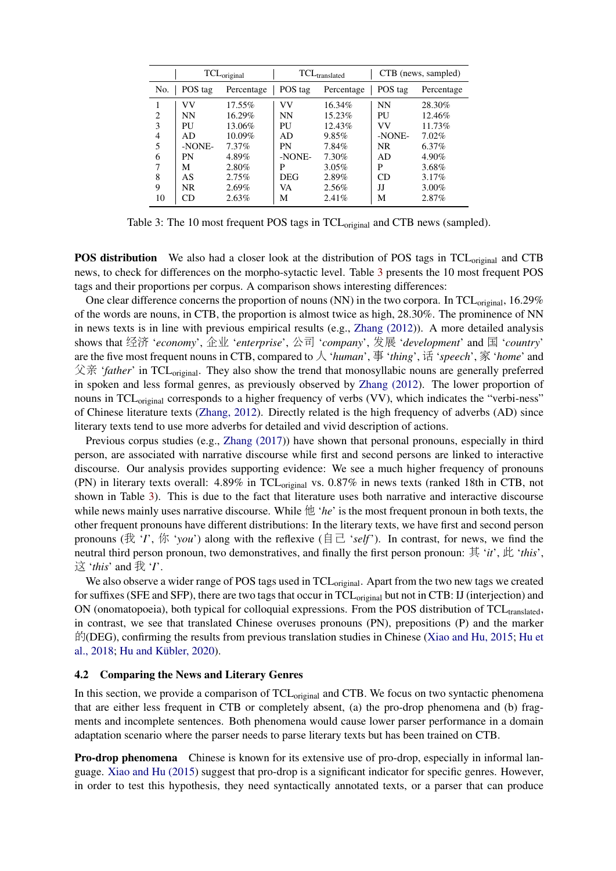|                |           | TCL <sub>original</sub> |            | TCL <sub>translated</sub> | CTB (news, sampled) |            |  |
|----------------|-----------|-------------------------|------------|---------------------------|---------------------|------------|--|
| No.            | POS tag   | Percentage              | POS tag    | Percentage                | POS tag             | Percentage |  |
|                | VV        | 17.55%                  | VV         | 16.34%                    | <b>NN</b>           | 28.30%     |  |
| $\overline{c}$ | <b>NN</b> | 16.29%                  | <b>NN</b>  | 15.23%                    | PU                  | 12.46%     |  |
| 3              | PI        | 13.06%                  | PU         | 12.43%                    | VV                  | 11.73%     |  |
| 4              | AD        | $10.09\%$               | AD         | 9.85%                     | -NONE-              | 7.02%      |  |
| 5              | -NONE-    | 7.37%                   | PN         | 7.84%                     | NR.                 | $6.37\%$   |  |
| 6              | PN        | 4.89%                   | -NONE-     | 7.30%                     | AD                  | $4.90\%$   |  |
| 7              | М         | 2.80%                   | P          | $3.05\%$                  | P                   | 3.68%      |  |
| 8              | AS        | 2.75%                   | <b>DEG</b> | 2.89%                     | CD                  | $3.17\%$   |  |
| 9              | NR.       | 2.69%                   | VA         | 2.56%                     | IJ                  | 3.00%      |  |
| 10             | CD        | 2.63%                   | М          | 2.41%                     | Μ                   | 2.87%      |  |

<span id="page-5-0"></span>Table 3: The 10 most frequent POS tags in TCL<sub>original</sub> and CTB news (sampled).

POS distribution We also had a closer look at the distribution of POS tags in TCL<sub>original</sub> and CTB news, to check for differences on the morpho-sytactic level. Table [3](#page-5-0) presents the 10 most frequent POS tags and their proportions per corpus. A comparison shows interesting differences:

One clear difference concerns the proportion of nouns (NN) in the two corpora. In TCL<sub>original</sub>, 16.29% of the words are nouns, in CTB, the proportion is almost twice as high, 28.30%. The prominence of NN in news texts is in line with previous empirical results (e.g., [Zhang \(2012\)](#page-12-0)). A more detailed analysis shows that <sup>经</sup><sup>济</sup> '*economy*', <sup>企</sup><sup>业</sup> '*enterprise*', <sup>公</sup><sup>司</sup> '*company*', <sup>发</sup>展 '*development*' and <sup>国</sup> '*country*' are the five most frequent nouns in CTB, compared to 人 '*human*', 事 '*thing*', 话 '*speech*', 家 '*home*' and 父亲 *'father'* in TCL<sub>original</sub>. They also show the trend that monosyllabic nouns are generally preferred in spoken and less formal genres, as previously observed by [Zhang \(2012\)](#page-12-0). The lower proportion of nouns in TCL<sub>original</sub> corresponds to a higher frequency of verbs (VV), which indicates the "verbi-ness" of Chinese literature texts [\(Zhang, 2012\)](#page-12-0). Directly related is the high frequency of adverbs (AD) since literary texts tend to use more adverbs for detailed and vivid description of actions.

Previous corpus studies (e.g., [Zhang \(2017\)](#page-12-1)) have shown that personal pronouns, especially in third person, are associated with narrative discourse while first and second persons are linked to interactive discourse. Our analysis provides supporting evidence: We see a much higher frequency of pronouns (PN) in literary texts overall: 4.89% in TCL<sub>original</sub> vs. 0.87% in news texts (ranked 18th in CTB, not shown in Table [3\)](#page-5-0). This is due to the fact that literature uses both narrative and interactive discourse while news mainly uses narrative discourse. While 他 *'he'* is the most frequent pronoun in both texts, the other frequent pronouns have different distributions: In the literary texts, we have first and second person pronouns (我 '*I*', 你 '*you*') along with the reflexive ( $\exists \exists$  '*self*'). In contrast, for news, we find the neutral third person pronoun, two demonstratives, and finally the first person pronoun: <sup>其</sup> '*it*', 此 '*this*', <sup>这</sup> '*this*' and 我 '*I*'.

We also observe a wider range of POS tags used in TCL<sub>original</sub>. Apart from the two new tags we created for suffixes (SFE and SFP), there are two tags that occur in TCL<sub>original</sub> but not in CTB: IJ (interjection) and ON (onomatopoeia), both typical for colloquial expressions. From the POS distribution of  $TCL_{translated}$ , in contrast, we see that translated Chinese overuses pronouns (PN), prepositions (P) and the marker 的(DEG), confirming the results from previous translation studies in Chinese [\(Xiao and Hu, 2015;](#page-11-2) [Hu et](#page-10-1) [al., 2018;](#page-10-1) [Hu and Kübler, 2020\)](#page-10-4).

### 4.2 Comparing the News and Literary Genres

In this section, we provide a comparison of  $TCL_{original}$  and  $CTB$ . We focus on two syntactic phenomena that are either less frequent in CTB or completely absent, (a) the pro-drop phenomena and (b) fragments and incomplete sentences. Both phenomena would cause lower parser performance in a domain adaptation scenario where the parser needs to parse literary texts but has been trained on CTB.

**Pro-drop phenomena** Chinese is known for its extensive use of pro-drop, especially in informal language. [Xiao and Hu \(2015\)](#page-11-2) suggest that pro-drop is a significant indicator for specific genres. However, in order to test this hypothesis, they need syntactically annotated texts, or a parser that can produce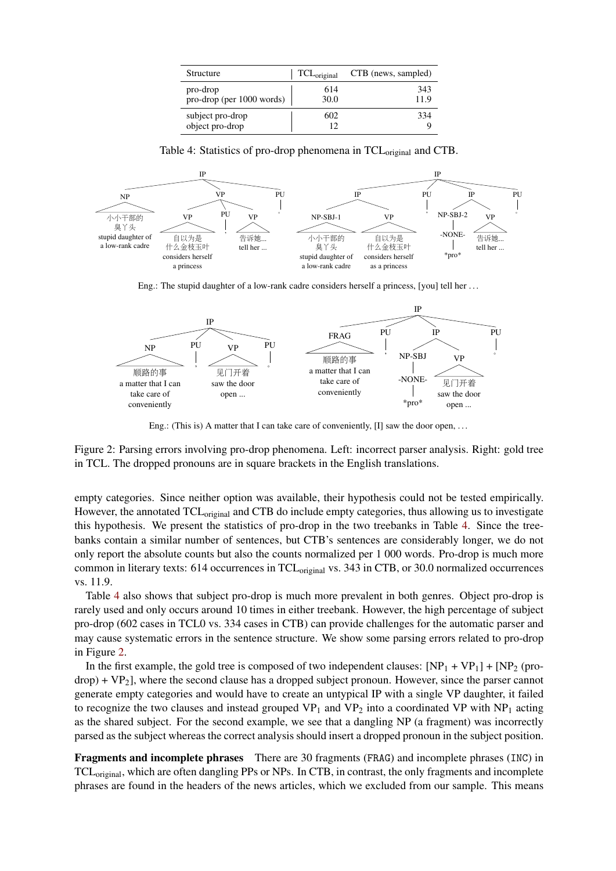| Structure                             | $TCL_{original}$ | CTB (news, sampled) |
|---------------------------------------|------------------|---------------------|
| pro-drop<br>pro-drop (per 1000 words) | 614<br>30.0      | 343<br>11.9         |
| subject pro-drop<br>object pro-drop   | 602<br>12        | 334                 |

<span id="page-6-0"></span>Table 4: Statistics of pro-drop phenomena in TCL<sub>original</sub> and CTB.



Eng.: The stupid daughter of a low-rank cadre considers herself a princess, [you] tell her . . .



<span id="page-6-1"></span>Eng.: (This is) A matter that I can take care of conveniently, [I] saw the door open, ...

Figure 2: Parsing errors involving pro-drop phenomena. Left: incorrect parser analysis. Right: gold tree in TCL. The dropped pronouns are in square brackets in the English translations.

empty categories. Since neither option was available, their hypothesis could not be tested empirically. However, the annotated TCL<sub>original</sub> and CTB do include empty categories, thus allowing us to investigate this hypothesis. We present the statistics of pro-drop in the two treebanks in Table [4.](#page-6-0) Since the treebanks contain a similar number of sentences, but CTB's sentences are considerably longer, we do not only report the absolute counts but also the counts normalized per 1 000 words. Pro-drop is much more common in literary texts: 614 occurrences in TCL<sub>original</sub> vs. 343 in CTB, or 30.0 normalized occurrences vs. 11.9.

Table [4](#page-6-0) also shows that subject pro-drop is much more prevalent in both genres. Object pro-drop is rarely used and only occurs around 10 times in either treebank. However, the high percentage of subject pro-drop (602 cases in TCL0 vs. 334 cases in CTB) can provide challenges for the automatic parser and may cause systematic errors in the sentence structure. We show some parsing errors related to pro-drop in Figure [2.](#page-6-1)

In the first example, the gold tree is composed of two independent clauses:  $[NP<sub>1</sub> + VP<sub>1</sub>] + [NP<sub>2</sub> (pro$  $drop) + VP<sub>2</sub>$ ], where the second clause has a dropped subject pronoun. However, since the parser cannot generate empty categories and would have to create an untypical IP with a single VP daughter, it failed to recognize the two clauses and instead grouped  $VP_1$  and  $VP_2$  into a coordinated VP with  $NP_1$  acting as the shared subject. For the second example, we see that a dangling NP (a fragment) was incorrectly parsed as the subject whereas the correct analysis should insert a dropped pronoun in the subject position.

Fragments and incomplete phrases There are 30 fragments (FRAG) and incomplete phrases (INC) in TCLoriginal, which are often dangling PPs or NPs. In CTB, in contrast, the only fragments and incomplete phrases are found in the headers of the news articles, which we excluded from our sample. This means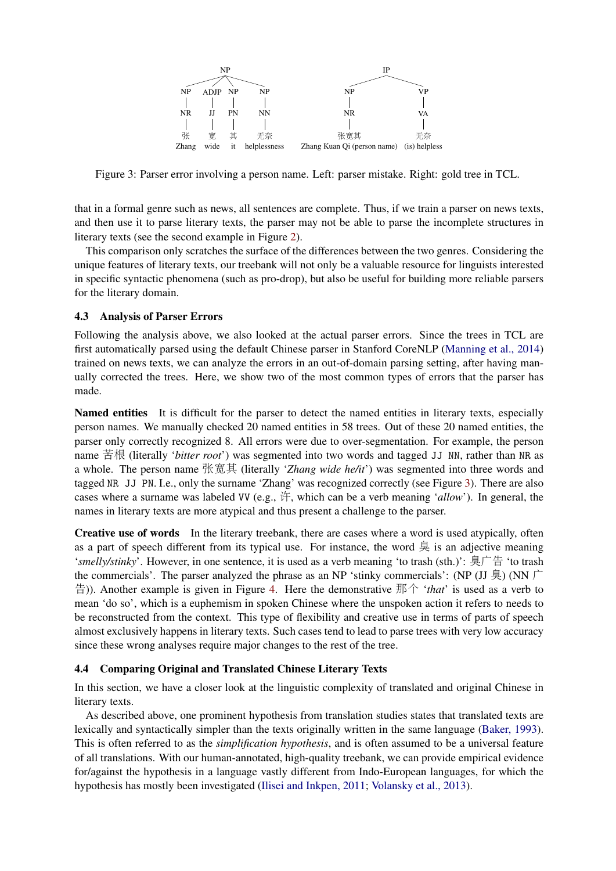

<span id="page-7-1"></span>Figure 3: Parser error involving a person name. Left: parser mistake. Right: gold tree in TCL.

that in a formal genre such as news, all sentences are complete. Thus, if we train a parser on news texts, and then use it to parse literary texts, the parser may not be able to parse the incomplete structures in literary texts (see the second example in Figure [2\)](#page-6-1).

This comparison only scratches the surface of the differences between the two genres. Considering the unique features of literary texts, our treebank will not only be a valuable resource for linguists interested in specific syntactic phenomena (such as pro-drop), but also be useful for building more reliable parsers for the literary domain.

## 4.3 Analysis of Parser Errors

Following the analysis above, we also looked at the actual parser errors. Since the trees in TCL are first automatically parsed using the default Chinese parser in Stanford CoreNLP [\(Manning et al., 2014\)](#page-11-9) trained on news texts, we can analyze the errors in an out-of-domain parsing setting, after having manually corrected the trees. Here, we show two of the most common types of errors that the parser has made.

Named entities It is difficult for the parser to detect the named entities in literary texts, especially person names. We manually checked 20 named entities in 58 trees. Out of these 20 named entities, the parser only correctly recognized 8. All errors were due to over-segmentation. For example, the person name 苦根 (literally '*bitter root*') was segmented into two words and tagged JJ NN, rather than NR as a whole. The person name 张宽<sup>其</sup> (literally '*Zhang wide he/it*') was segmented into three words and tagged NR JJ PN. I.e., only the surname 'Zhang' was recognized correctly (see Figure [3\)](#page-7-1). There are also cases where a surname was labeled VV (e.g., 许, which can be a verb meaning '*allow*'). In general, the names in literary texts are more atypical and thus present a challenge to the parser.

Creative use of words In the literary treebank, there are cases where a word is used atypically, often as a part of speech different from its typical use. For instance, the word  $\frac{1}{2}$  is an adjective meaning '*smelly/stinky*'. However, in one sentence, it is used as a verb meaning 'to trash (sth.)': 臭广<sup>告</sup> 'to trash the commercials'. The parser analyzed the phrase as an NP 'stinky commercials': (NP (JJ 臭) (NN 广 告)). Another example is given in Figure [4.](#page-8-0) Here the demonstrative 那个 '*that*' is used as a verb to mean 'do so', which is a euphemism in spoken Chinese where the unspoken action it refers to needs to be reconstructed from the context. This type of flexibility and creative use in terms of parts of speech almost exclusively happens in literary texts. Such cases tend to lead to parse trees with very low accuracy since these wrong analyses require major changes to the rest of the tree.

## <span id="page-7-0"></span>4.4 Comparing Original and Translated Chinese Literary Texts

In this section, we have a closer look at the linguistic complexity of translated and original Chinese in literary texts.

As described above, one prominent hypothesis from translation studies states that translated texts are lexically and syntactically simpler than the texts originally written in the same language [\(Baker, 1993\)](#page-10-14). This is often referred to as the *simplification hypothesis*, and is often assumed to be a universal feature of all translations. With our human-annotated, high-quality treebank, we can provide empirical evidence for/against the hypothesis in a language vastly different from Indo-European languages, for which the hypothesis has mostly been investigated [\(Ilisei and Inkpen, 2011;](#page-10-17) [Volansky et al., 2013\)](#page-11-16).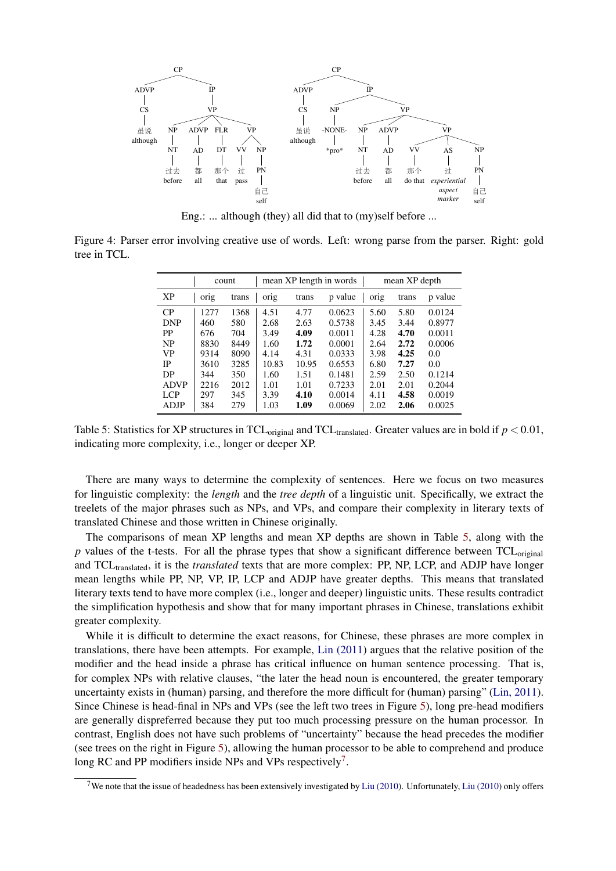

Eng.: ... although (they) all did that to (my)self before ...

<span id="page-8-0"></span>Figure 4: Parser error involving creative use of words. Left: wrong parse from the parser. Right: gold tree in TCL.

|             |      | count | mean XP length in words |       |         | mean XP depth |       |         |
|-------------|------|-------|-------------------------|-------|---------|---------------|-------|---------|
| <b>XP</b>   | orig | trans | orig                    | trans | p value | orig          | trans | p value |
| CP          | 1277 | 1368  | 4.51                    | 4.77  | 0.0623  | 5.60          | 5.80  | 0.0124  |
| <b>DNP</b>  | 460  | 580   | 2.68                    | 2.63  | 0.5738  | 3.45          | 3.44  | 0.8977  |
| <b>PP</b>   | 676  | 704   | 3.49                    | 4.09  | 0.0011  | 4.28          | 4.70  | 0.0011  |
| <b>NP</b>   | 8830 | 8449  | 1.60                    | 1.72  | 0.0001  | 2.64          | 2.72  | 0.0006  |
| VP          | 9314 | 8090  | 4.14                    | 4.31  | 0.0333  | 3.98          | 4.25  | 0.0     |
| IP          | 3610 | 3285  | 10.83                   | 10.95 | 0.6553  | 6.80          | 7.27  | 0.0     |
| DP          | 344  | 350   | 1.60                    | 1.51  | 0.1481  | 2.59          | 2.50  | 0.1214  |
| <b>ADVP</b> | 2216 | 2012  | 1.01                    | 1.01  | 0.7233  | 2.01          | 2.01  | 0.2044  |
| LCP         | 297  | 345   | 3.39                    | 4.10  | 0.0014  | 4.11          | 4.58  | 0.0019  |
| ADJP        | 384  | 279   | 1.03                    | 1.09  | 0.0069  | 2.02          | 2.06  | 0.0025  |

<span id="page-8-1"></span>Table 5: Statistics for XP structures in TCL<sub>original</sub> and TCL<sub>translated</sub>. Greater values are in bold if  $p < 0.01$ , indicating more complexity, i.e., longer or deeper XP.

There are many ways to determine the complexity of sentences. Here we focus on two measures for linguistic complexity: the *length* and the *tree depth* of a linguistic unit. Specifically, we extract the treelets of the major phrases such as NPs, and VPs, and compare their complexity in literary texts of translated Chinese and those written in Chinese originally.

The comparisons of mean XP lengths and mean XP depths are shown in Table [5,](#page-8-1) along with the  $p$  values of the t-tests. For all the phrase types that show a significant difference between  $TCL_{original}$ and TCLtranslated, it is the *translated* texts that are more complex: PP, NP, LCP, and ADJP have longer mean lengths while PP, NP, VP, IP, LCP and ADJP have greater depths. This means that translated literary texts tend to have more complex (i.e., longer and deeper) linguistic units. These results contradict the simplification hypothesis and show that for many important phrases in Chinese, translations exhibit greater complexity.

While it is difficult to determine the exact reasons, for Chinese, these phrases are more complex in translations, there have been attempts. For example, [Lin \(2011\)](#page-11-17) argues that the relative position of the modifier and the head inside a phrase has critical influence on human sentence processing. That is, for complex NPs with relative clauses, "the later the head noun is encountered, the greater temporary uncertainty exists in (human) parsing, and therefore the more difficult for (human) parsing" [\(Lin, 2011\)](#page-11-17). Since Chinese is head-final in NPs and VPs (see the left two trees in Figure [5\)](#page-9-0), long pre-head modifiers are generally dispreferred because they put too much processing pressure on the human processor. In contrast, English does not have such problems of "uncertainty" because the head precedes the modifier (see trees on the right in Figure [5\)](#page-9-0), allowing the human processor to be able to comprehend and produce long RC and PP modifiers inside NPs and VPs respectively<sup>[7](#page-8-2)</sup>.

<span id="page-8-2"></span><sup>&</sup>lt;sup>7</sup>We note that the issue of headedness has been extensively investigated by [Liu \(2010\)](#page-11-18). Unfortunately, Liu (2010) only offers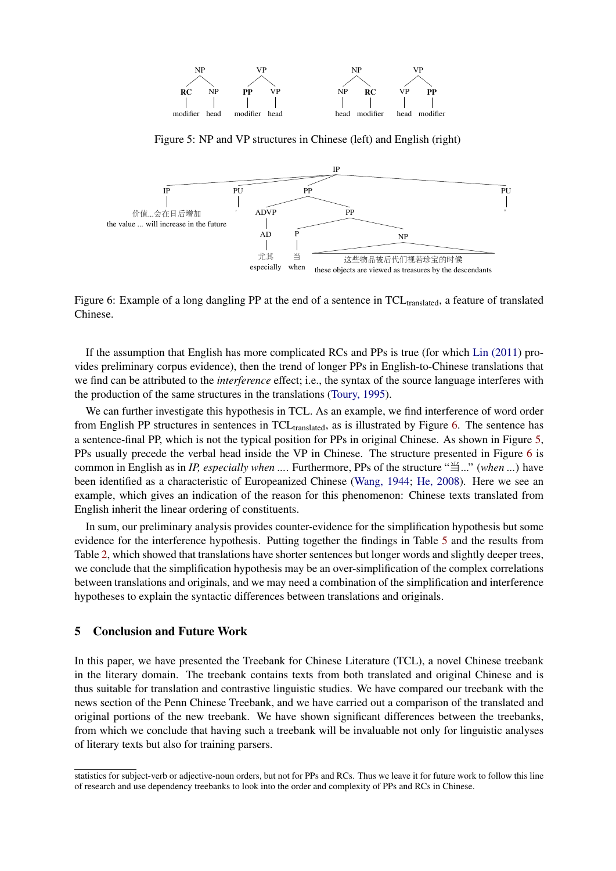

<span id="page-9-0"></span>Figure 5: NP and VP structures in Chinese (left) and English (right)



<span id="page-9-1"></span>Figure 6: Example of a long dangling PP at the end of a sentence in TCL<sub>translated</sub>, a feature of translated Chinese.

If the assumption that English has more complicated RCs and PPs is true (for which [Lin \(2011\)](#page-11-17) provides preliminary corpus evidence), then the trend of longer PPs in English-to-Chinese translations that we find can be attributed to the *interference* effect; i.e., the syntax of the source language interferes with the production of the same structures in the translations [\(Toury, 1995\)](#page-11-19).

We can further investigate this hypothesis in TCL. As an example, we find interference of word order from English PP structures in sentences in  $TCL_{translated}$ , as is illustrated by Figure [6.](#page-9-1) The sentence has a sentence-final PP, which is not the typical position for PPs in original Chinese. As shown in Figure [5,](#page-9-0) PPs usually precede the verbal head inside the VP in Chinese. The structure presented in Figure [6](#page-9-1) is common in English as in *IP, especially when ...*. Furthermore, PPs of the structure "当..." (*when ...*) have been identified as a characteristic of Europeanized Chinese [\(Wang, 1944;](#page-11-20) [He, 2008\)](#page-10-19). Here we see an example, which gives an indication of the reason for this phenomenon: Chinese texts translated from English inherit the linear ordering of constituents.

In sum, our preliminary analysis provides counter-evidence for the simplification hypothesis but some evidence for the interference hypothesis. Putting together the findings in Table [5](#page-8-1) and the results from Table [2,](#page-4-0) which showed that translations have shorter sentences but longer words and slightly deeper trees, we conclude that the simplification hypothesis may be an over-simplification of the complex correlations between translations and originals, and we may need a combination of the simplification and interference hypotheses to explain the syntactic differences between translations and originals.

### 5 Conclusion and Future Work

In this paper, we have presented the Treebank for Chinese Literature (TCL), a novel Chinese treebank in the literary domain. The treebank contains texts from both translated and original Chinese and is thus suitable for translation and contrastive linguistic studies. We have compared our treebank with the news section of the Penn Chinese Treebank, and we have carried out a comparison of the translated and original portions of the new treebank. We have shown significant differences between the treebanks, from which we conclude that having such a treebank will be invaluable not only for linguistic analyses of literary texts but also for training parsers.

statistics for subject-verb or adjective-noun orders, but not for PPs and RCs. Thus we leave it for future work to follow this line of research and use dependency treebanks to look into the order and complexity of PPs and RCs in Chinese.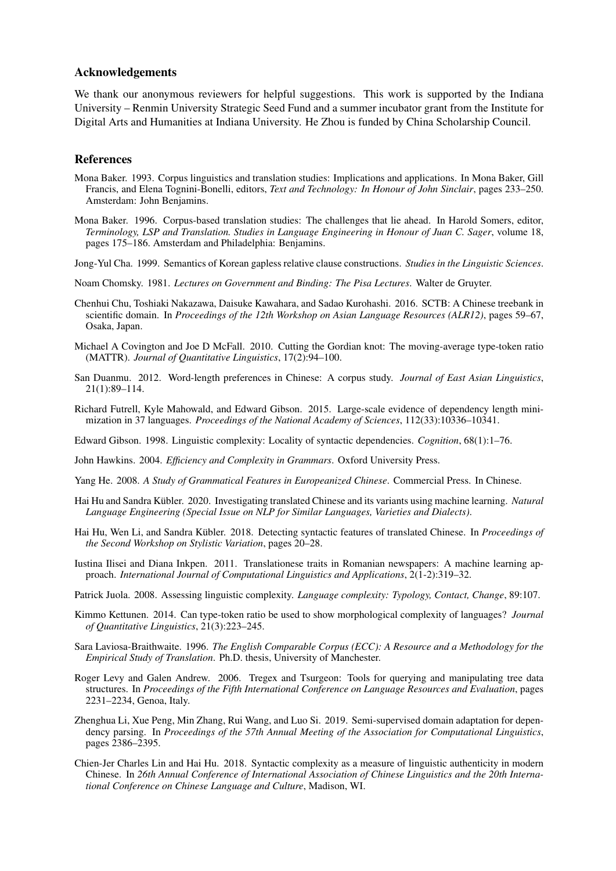#### Acknowledgements

We thank our anonymous reviewers for helpful suggestions. This work is supported by the Indiana University – Renmin University Strategic Seed Fund and a summer incubator grant from the Institute for Digital Arts and Humanities at Indiana University. He Zhou is funded by China Scholarship Council.

#### References

- <span id="page-10-14"></span>Mona Baker. 1993. Corpus linguistics and translation studies: Implications and applications. In Mona Baker, Gill Francis, and Elena Tognini-Bonelli, editors, *Text and Technology: In Honour of John Sinclair*, pages 233–250. Amsterdam: John Benjamins.
- <span id="page-10-15"></span>Mona Baker. 1996. Corpus-based translation studies: The challenges that lie ahead. In Harold Somers, editor, *Terminology, LSP and Translation. Studies in Language Engineering in Honour of Juan C. Sager*, volume 18, pages 175–186. Amsterdam and Philadelphia: Benjamins.
- <span id="page-10-7"></span>Jong-Yul Cha. 1999. Semantics of Korean gapless relative clause constructions. *Studies in the Linguistic Sciences*.
- <span id="page-10-6"></span>Noam Chomsky. 1981. *Lectures on Government and Binding: The Pisa Lectures*. Walter de Gruyter.
- <span id="page-10-0"></span>Chenhui Chu, Toshiaki Nakazawa, Daisuke Kawahara, and Sadao Kurohashi. 2016. SCTB: A Chinese treebank in scientific domain. In *Proceedings of the 12th Workshop on Asian Language Resources (ALR12)*, pages 59–67, Osaka, Japan.
- <span id="page-10-9"></span>Michael A Covington and Joe D McFall. 2010. Cutting the Gordian knot: The moving-average type-token ratio (MATTR). *Journal of Quantitative Linguistics*, 17(2):94–100.
- <span id="page-10-5"></span>San Duanmu. 2012. Word-length preferences in Chinese: A corpus study. *Journal of East Asian Linguistics*, 21(1):89–114.
- <span id="page-10-11"></span>Richard Futrell, Kyle Mahowald, and Edward Gibson. 2015. Large-scale evidence of dependency length minimization in 37 languages. *Proceedings of the National Academy of Sciences*, 112(33):10336–10341.
- <span id="page-10-12"></span>Edward Gibson. 1998. Linguistic complexity: Locality of syntactic dependencies. *Cognition*, 68(1):1–76.
- <span id="page-10-13"></span>John Hawkins. 2004. *Efficiency and Complexity in Grammars*. Oxford University Press.
- <span id="page-10-19"></span>Yang He. 2008. *A Study of Grammatical Features in Europeanized Chinese*. Commercial Press. In Chinese.
- <span id="page-10-4"></span>Hai Hu and Sandra Kübler. 2020. Investigating translated Chinese and its variants using machine learning. *Natural Language Engineering (Special Issue on NLP for Similar Languages, Varieties and Dialects)*.
- <span id="page-10-1"></span>Hai Hu, Wen Li, and Sandra Kübler. 2018. Detecting syntactic features of translated Chinese. In *Proceedings of the Second Workshop on Stylistic Variation*, pages 20–28.
- <span id="page-10-17"></span>Iustina Ilisei and Diana Inkpen. 2011. Translationese traits in Romanian newspapers: A machine learning approach. *International Journal of Computational Linguistics and Applications*, 2(1-2):319–32.
- <span id="page-10-8"></span>Patrick Juola. 2008. Assessing linguistic complexity. *Language complexity: Typology, Contact, Change*, 89:107.
- <span id="page-10-10"></span>Kimmo Kettunen. 2014. Can type-token ratio be used to show morphological complexity of languages? *Journal of Quantitative Linguistics*, 21(3):223–245.
- <span id="page-10-16"></span>Sara Laviosa-Braithwaite. 1996. *The English Comparable Corpus (ECC): A Resource and a Methodology for the Empirical Study of Translation*. Ph.D. thesis, University of Manchester.
- <span id="page-10-18"></span>Roger Levy and Galen Andrew. 2006. Tregex and Tsurgeon: Tools for querying and manipulating tree data structures. In *Proceedings of the Fifth International Conference on Language Resources and Evaluation*, pages 2231–2234, Genoa, Italy.
- <span id="page-10-3"></span>Zhenghua Li, Xue Peng, Min Zhang, Rui Wang, and Luo Si. 2019. Semi-supervised domain adaptation for dependency parsing. In *Proceedings of the 57th Annual Meeting of the Association for Computational Linguistics*, pages 2386–2395.
- <span id="page-10-2"></span>Chien-Jer Charles Lin and Hai Hu. 2018. Syntactic complexity as a measure of linguistic authenticity in modern Chinese. In *26th Annual Conference of International Association of Chinese Linguistics and the 20th International Conference on Chinese Language and Culture*, Madison, WI.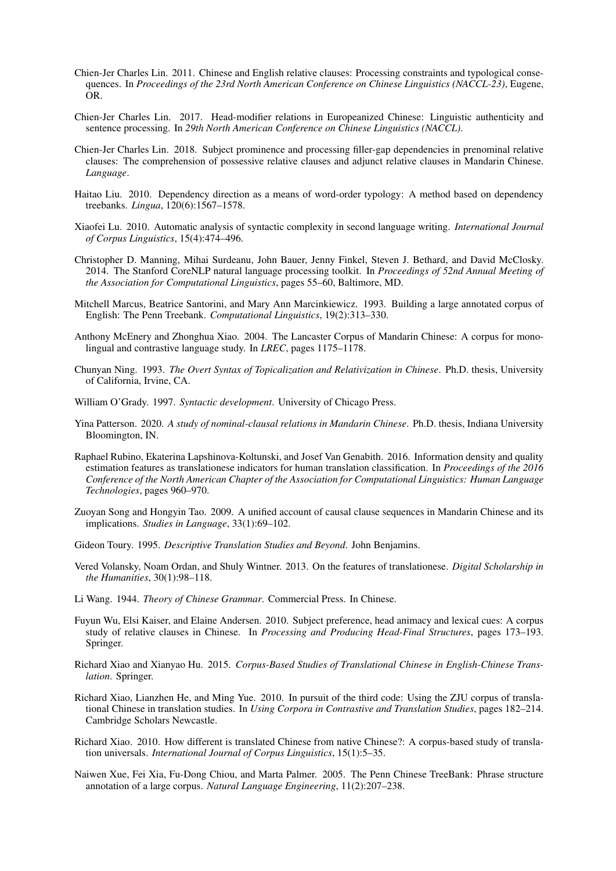- <span id="page-11-17"></span>Chien-Jer Charles Lin. 2011. Chinese and English relative clauses: Processing constraints and typological consequences. In *Proceedings of the 23rd North American Conference on Chinese Linguistics (NACCL-23)*, Eugene, OR.
- <span id="page-11-5"></span>Chien-Jer Charles Lin. 2017. Head-modifier relations in Europeanized Chinese: Linguistic authenticity and sentence processing. In *29th North American Conference on Chinese Linguistics (NACCL)*.
- <span id="page-11-11"></span>Chien-Jer Charles Lin. 2018. Subject prominence and processing filler-gap dependencies in prenominal relative clauses: The comprehension of possessive relative clauses and adjunct relative clauses in Mandarin Chinese. *Language*.
- <span id="page-11-18"></span>Haitao Liu. 2010. Dependency direction as a means of word-order typology: A method based on dependency treebanks. *Lingua*, 120(6):1567–1578.
- <span id="page-11-14"></span>Xiaofei Lu. 2010. Automatic analysis of syntactic complexity in second language writing. *International Journal of Corpus Linguistics*, 15(4):474–496.
- <span id="page-11-9"></span>Christopher D. Manning, Mihai Surdeanu, John Bauer, Jenny Finkel, Steven J. Bethard, and David McClosky. 2014. The Stanford CoreNLP natural language processing toolkit. In *Proceedings of 52nd Annual Meeting of the Association for Computational Linguistics*, pages 55–60, Baltimore, MD.
- <span id="page-11-10"></span>Mitchell Marcus, Beatrice Santorini, and Mary Ann Marcinkiewicz. 1993. Building a large annotated corpus of English: The Penn Treebank. *Computational Linguistics*, 19(2):313–330.
- <span id="page-11-6"></span>Anthony McEnery and Zhonghua Xiao. 2004. The Lancaster Corpus of Mandarin Chinese: A corpus for monolingual and contrastive language study. In *LREC*, pages 1175–1178.
- <span id="page-11-13"></span>Chunyan Ning. 1993. *The Overt Syntax of Topicalization and Relativization in Chinese*. Ph.D. thesis, University of California, Irvine, CA.
- <span id="page-11-15"></span>William O'Grady. 1997. *Syntactic development*. University of Chicago Press.
- <span id="page-11-12"></span>Yina Patterson. 2020. *A study of nominal-clausal relations in Mandarin Chinese*. Ph.D. thesis, Indiana University Bloomington, IN.
- <span id="page-11-3"></span>Raphael Rubino, Ekaterina Lapshinova-Koltunski, and Josef Van Genabith. 2016. Information density and quality estimation features as translationese indicators for human translation classification. In *Proceedings of the 2016 Conference of the North American Chapter of the Association for Computational Linguistics: Human Language Technologies*, pages 960–970.
- <span id="page-11-8"></span>Zuoyan Song and Hongyin Tao. 2009. A unified account of causal clause sequences in Mandarin Chinese and its implications. *Studies in Language*, 33(1):69–102.
- <span id="page-11-19"></span>Gideon Toury. 1995. *Descriptive Translation Studies and Beyond*. John Benjamins.
- <span id="page-11-16"></span>Vered Volansky, Noam Ordan, and Shuly Wintner. 2013. On the features of translationese. *Digital Scholarship in the Humanities*, 30(1):98–118.
- <span id="page-11-20"></span>Li Wang. 1944. *Theory of Chinese Grammar*. Commercial Press. In Chinese.
- <span id="page-11-4"></span>Fuyun Wu, Elsi Kaiser, and Elaine Andersen. 2010. Subject preference, head animacy and lexical cues: A corpus study of relative clauses in Chinese. In *Processing and Producing Head-Final Structures*, pages 173–193. Springer.
- <span id="page-11-2"></span>Richard Xiao and Xianyao Hu. 2015. *Corpus-Based Studies of Translational Chinese in English-Chinese Translation*. Springer.
- <span id="page-11-7"></span>Richard Xiao, Lianzhen He, and Ming Yue. 2010. In pursuit of the third code: Using the ZJU corpus of translational Chinese in translation studies. In *Using Corpora in Contrastive and Translation Studies*, pages 182–214. Cambridge Scholars Newcastle.
- <span id="page-11-1"></span>Richard Xiao. 2010. How different is translated Chinese from native Chinese?: A corpus-based study of translation universals. *International Journal of Corpus Linguistics*, 15(1):5–35.
- <span id="page-11-0"></span>Naiwen Xue, Fei Xia, Fu-Dong Chiou, and Marta Palmer. 2005. The Penn Chinese TreeBank: Phrase structure annotation of a large corpus. *Natural Language Engineering*, 11(2):207–238.